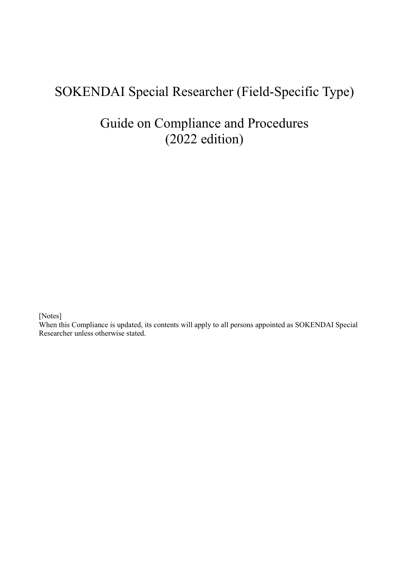# SOKENDAI Special Researcher (Field-Specific Type)

# Guide on Compliance and Procedures (2022 edition)

[Notes]

When this Compliance is updated, its contents will apply to all persons appointed as SOKENDAI Special Researcher unless otherwise stated.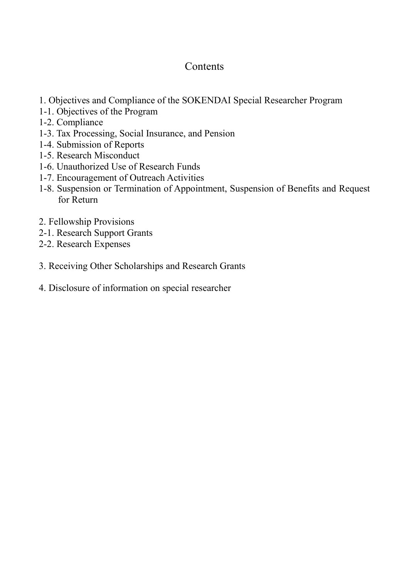# **Contents**

- 1. Objectives and Compliance of the SOKENDAI Special Researcher Program
- 1-1. Objectives of the Program
- 1-2. Compliance
- 1-3. Tax Processing, Social Insurance, and Pension
- 1-4. Submission of Reports
- 1-5. Research Misconduct
- 1-6. Unauthorized Use of Research Funds
- 1-7. Encouragement of Outreach Activities
- 1-8. Suspension or Termination of Appointment, Suspension of Benefits and Request for Return
- 2. Fellowship Provisions
- 2-1. Research Support Grants
- 2-2. Research Expenses
- 3. Receiving Other Scholarships and Research Grants
- 4. Disclosure of information on special researcher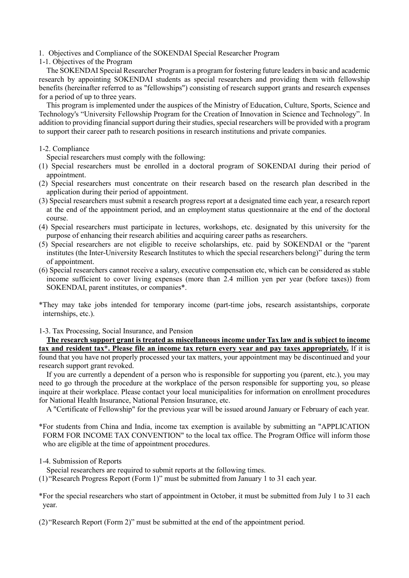1. Objectives and Compliance of the SOKENDAI Special Researcher Program

1-1. Objectives of the Program

The SOKENDAI Special Researcher Program is a program for fostering future leaders in basic and academic research by appointing SOKENDAI students as special researchers and providing them with fellowship benefits (hereinafter referred to as "fellowships") consisting of research support grants and research expenses for a period of up to three years.

This program is implemented under the auspices of the Ministry of Education, Culture, Sports, Science and Technology's "University Fellowship Program for the Creation of Innovation in Science and Technology". In addition to providing financial support during their studies, special researchers will be provided with a program to support their career path to research positions in research institutions and private companies.

## 1-2. Compliance

Special researchers must comply with the following:

- (1) Special researchers must be enrolled in a doctoral program of SOKENDAI during their period of appointment.
- (2) Special researchers must concentrate on their research based on the research plan described in the application during their period of appointment.
- (3) Special researchers must submit a research progress report at a designated time each year, a research report at the end of the appointment period, and an employment status questionnaire at the end of the doctoral course.
- (4) Special researchers must participate in lectures, workshops, etc. designated by this university for the purpose of enhancing their research abilities and acquiring career paths as researchers.
- (5) Special researchers are not eligible to receive scholarships, etc. paid by SOKENDAI or the "parent institutes (the Inter-University Research Institutes to which the special researchers belong)" during the term of appointment.
- (6) Special researchers cannot receive a salary, executive compensation etc, which can be considered as stable income sufficient to cover living expenses (more than 2.4 million yen per year (before taxes)) from SOKENDAI, parent institutes, or companies\*.

\*They may take jobs intended for temporary income (part-time jobs, research assistantships, corporate internships, etc.).

1-3. Tax Processing, Social Insurance, and Pension

**The research support grant is treated as miscellaneous income under Tax law and is subject to income tax and resident tax\*. Please file an income tax return every year and pay taxes appropriately.** If it is found that you have not properly processed your tax matters, your appointment may be discontinued and your research support grant revoked.

If you are currently a dependent of a person who is responsible for supporting you (parent, etc.), you may need to go through the procedure at the workplace of the person responsible for supporting you, so please inquire at their workplace. Please contact your local municipalities for information on enrollment procedures for National Health Insurance, National Pension Insurance, etc.

A "Certificate of Fellowship" for the previous year will be issued around January or February of each year.

\*For students from China and India, income tax exemption is available by submitting an "APPLICATION FORM FOR INCOME TAX CONVENTION" to the local tax office. The Program Office will inform those who are eligible at the time of appointment procedures.

### 1-4. Submission of Reports

Special researchers are required to submit reports at the following times.

(1) "Research Progress Report (Form 1)" must be submitted from January 1 to 31 each year.

\*For the special researchers who start of appointment in October, it must be submitted from July 1 to 31 each year.

(2) "Research Report (Form 2)" must be submitted at the end of the appointment period.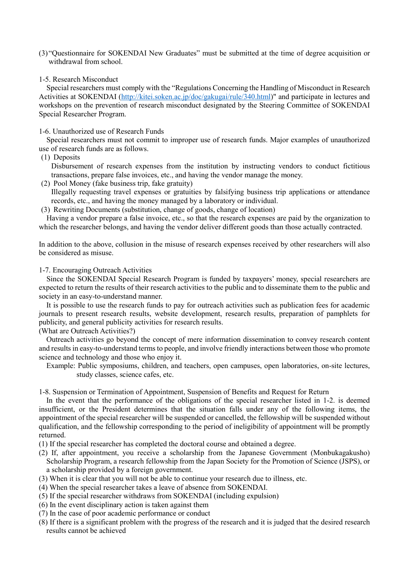- (3) "Questionnaire for SOKENDAI New Graduates" must be submitted at the time of degree acquisition or withdrawal from school.
- 1-5. Research Misconduct

Special researchers must comply with the "Regulations Concerning the Handling of Misconduct in Research Activities at SOKENDAI [\(http://kitei.soken.ac.jp/doc/gakugai/rule/340.html\)](http://kitei.soken.ac.jp/doc/gakugai/rule/340.html)" and participate in lectures and workshops on the prevention of research misconduct designated by the Steering Committee of SOKENDAI Special Researcher Program.

#### 1-6. Unauthorized use of Research Funds

Special researchers must not commit to improper use of research funds. Major examples of unauthorized use of research funds are as follows.

#### (1) Deposits

Disbursement of research expenses from the institution by instructing vendors to conduct fictitious transactions, prepare false invoices, etc., and having the vendor manage the money.

- (2) Pool Money (fake business trip, fake gratuity) Illegally requesting travel expenses or gratuities by falsifying business trip applications or attendance records, etc., and having the money managed by a laboratory or individual.
- (3) Rewriting Documents (substitution, change of goods, change of location)

Having a vendor prepare a false invoice, etc., so that the research expenses are paid by the organization to which the researcher belongs, and having the vendor deliver different goods than those actually contracted.

In addition to the above, collusion in the misuse of research expenses received by other researchers will also be considered as misuse.

#### 1-7. Encouraging Outreach Activities

Since the SOKENDAI Special Research Program is funded by taxpayers' money, special researchers are expected to return the results of their research activities to the public and to disseminate them to the public and society in an easy-to-understand manner.

It is possible to use the research funds to pay for outreach activities such as publication fees for academic journals to present research results, website development, research results, preparation of pamphlets for publicity, and general publicity activities for research results.

#### (What are Outreach Activities?)

Outreach activities go beyond the concept of mere information dissemination to convey research content and results in easy-to-understand terms to people, and involve friendly interactions between those who promote science and technology and those who enjoy it.

Example: Public symposiums, children, and teachers, open campuses, open laboratories, on-site lectures, study classes, science cafes, etc.

1-8. Suspension or Termination of Appointment, Suspension of Benefits and Request for Return

In the event that the performance of the obligations of the special researcher listed in 1-2. is deemed insufficient, or the President determines that the situation falls under any of the following items, the appointment of the special researcher will be suspended or cancelled, the fellowship will be suspended without qualification, and the fellowship corresponding to the period of ineligibility of appointment will be promptly returned.

- (1) If the special researcher has completed the doctoral course and obtained a degree.
- (2) If, after appointment, you receive a scholarship from the Japanese Government (Monbukagakusho) Scholarship Program, a research fellowship from the Japan Society for the Promotion of Science (JSPS), or a scholarship provided by a foreign government.
- (3) When it is clear that you will not be able to continue your research due to illness, etc.
- (4) When the special researcher takes a leave of absence from SOKENDAI.
- (5) If the special researcher withdraws from SOKENDAI (including expulsion)
- (6) In the event disciplinary action is taken against them
- (7) In the case of poor academic performance or conduct
- (8) If there is a significant problem with the progress of the research and it is judged that the desired research results cannot be achieved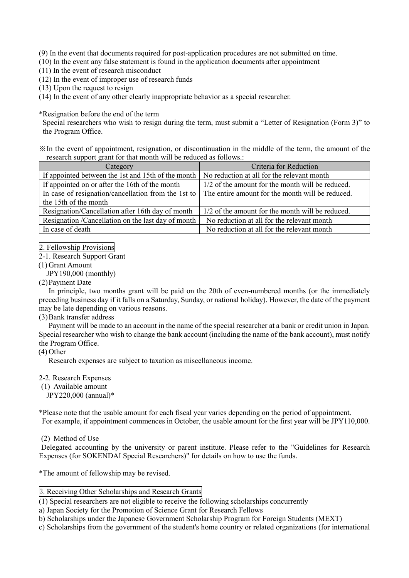(9) In the event that documents required for post-application procedures are not submitted on time.

(10) In the event any false statement is found in the application documents after appointment

(11) In the event of research misconduct

(12) In the event of improper use of research funds

(13) Upon the request to resign

(14) In the event of any other clearly inappropriate behavior as a special researcher.

\*Resignation before the end of the term

Special researchers who wish to resign during the term, must submit a "Letter of Resignation (Form 3)" to the Program Office.

※In the event of appointment, resignation, or discontinuation in the middle of the term, the amount of the research support grant for that month will be reduced as follows.:

| Category                                            | Criteria for Reduction                           |
|-----------------------------------------------------|--------------------------------------------------|
| If appointed between the 1st and 15th of the month  | No reduction at all for the relevant month       |
| If appointed on or after the 16th of the month      | 1/2 of the amount for the month will be reduced. |
| In case of resignation/cancellation from the 1st to | The entire amount for the month will be reduced. |
| the 15th of the month                               |                                                  |
| Resignation/Cancellation after 16th day of month    | 1/2 of the amount for the month will be reduced. |
| Resignation /Cancellation on the last day of month  | No reduction at all for the relevant month       |
| In case of death                                    | No reduction at all for the relevant month       |

2. Fellowship Provisions

2-1. Research Support Grant

(1) Grant Amount

JPY190,000 (monthly)

(2)Payment Date

In principle, two months grant will be paid on the 20th of even-numbered months (or the immediately preceding business day if it falls on a Saturday, Sunday, or national holiday). However, the date of the payment may be late depending on various reasons.

(3)Bank transfer address

Payment will be made to an account in the name of the special researcher at a bank or credit union in Japan. Special researcher who wish to change the bank account (including the name of the bank account), must notify the Program Office.

(4) Other

Research expenses are subject to taxation as miscellaneous income.

2-2. Research Expenses

(1) Available amount

JPY220,000 (annual)\*

\*Please note that the usable amount for each fiscal year varies depending on the period of appointment. For example, if appointment commences in October, the usable amount for the first year will be JPY110,000.

(2) Method of Use

Delegated accounting by the university or parent institute. Please refer to the "Guidelines for Research Expenses (for SOKENDAI Special Researchers)" for details on how to use the funds.

\*The amount of fellowship may be revised.

### 3. Receiving Other Scholarships and Research Grants

(1) Special researchers are not eligible to receive the following scholarships concurrently

a) Japan Society for the Promotion of Science Grant for Research Fellows

b) Scholarships under the Japanese Government Scholarship Program for Foreign Students (MEXT)

c) Scholarships from the government of the student's home country or related organizations (for international